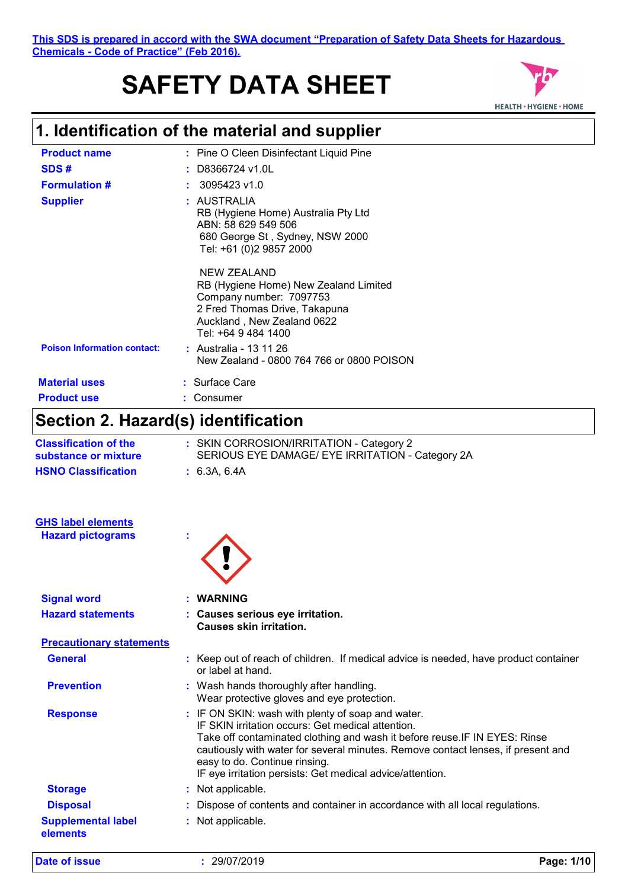#### **This SDS is prepared in accord with the SWA document "Preparation of Safety Data Sheets for Hazardous Chemicals - Code of Practice" (Feb 2016).**

# **SAFETY DATA SHEET**



# **1. Identification of the material and supplier**

| <b>Product name</b>                | : Pine O Cleen Disinfectant Liquid Pine                                                                                                                               |
|------------------------------------|-----------------------------------------------------------------------------------------------------------------------------------------------------------------------|
| SDS#                               | $:$ D8366724 v1.0L                                                                                                                                                    |
| <b>Formulation #</b>               | 3095423 v1.0                                                                                                                                                          |
| <b>Supplier</b>                    | : AUSTRALIA<br>RB (Hygiene Home) Australia Pty Ltd<br>ABN: 58 629 549 506<br>680 George St, Sydney, NSW 2000<br>Tel: +61 (0)2 9857 2000                               |
|                                    | NEW ZEALAND<br>RB (Hygiene Home) New Zealand Limited<br>Company number: 7097753<br>2 Fred Thomas Drive, Takapuna<br>Auckland, New Zealand 0622<br>Tel: +64 9 484 1400 |
| <b>Poison Information contact:</b> | : Australia - 13 11 26<br>New Zealand - 0800 764 766 or 0800 POISON                                                                                                   |
| <b>Material uses</b>               | : Surface Care                                                                                                                                                        |
| <b>Product use</b>                 | : Consumer                                                                                                                                                            |

# **Section 2. Hazard(s) identification**

| <b>Classification of the</b><br>substance or mixture | : SKIN CORROSION/IRRITATION - Category 2<br>SERIOUS EYE DAMAGE/ EYE IRRITATION - Category 2A                                                                                                                                                                                                                                                                           |
|------------------------------------------------------|------------------------------------------------------------------------------------------------------------------------------------------------------------------------------------------------------------------------------------------------------------------------------------------------------------------------------------------------------------------------|
| <b>HSNO Classification</b>                           | : 6.3A, 6.4A                                                                                                                                                                                                                                                                                                                                                           |
| <b>GHS label elements</b>                            |                                                                                                                                                                                                                                                                                                                                                                        |
| <b>Hazard pictograms</b>                             |                                                                                                                                                                                                                                                                                                                                                                        |
| <b>Signal word</b>                                   | <b>WARNING</b>                                                                                                                                                                                                                                                                                                                                                         |
| <b>Hazard statements</b>                             | : Causes serious eye irritation.<br><b>Causes skin irritation.</b>                                                                                                                                                                                                                                                                                                     |
| <b>Precautionary statements</b>                      |                                                                                                                                                                                                                                                                                                                                                                        |
| <b>General</b>                                       | : Keep out of reach of children. If medical advice is needed, have product container<br>or label at hand.                                                                                                                                                                                                                                                              |
| <b>Prevention</b>                                    | : Wash hands thoroughly after handling.<br>Wear protective gloves and eye protection.                                                                                                                                                                                                                                                                                  |
| <b>Response</b>                                      | : IF ON SKIN: wash with plenty of soap and water.<br>IF SKIN irritation occurs: Get medical attention.<br>Take off contaminated clothing and wash it before reuse. IF IN EYES: Rinse<br>cautiously with water for several minutes. Remove contact lenses, if present and<br>easy to do. Continue rinsing.<br>IF eye irritation persists: Get medical advice/attention. |
| <b>Storage</b>                                       | : Not applicable.                                                                                                                                                                                                                                                                                                                                                      |
| <b>Disposal</b>                                      | : Dispose of contents and container in accordance with all local regulations.                                                                                                                                                                                                                                                                                          |
| <b>Supplemental label</b><br>elements                | : Not applicable.                                                                                                                                                                                                                                                                                                                                                      |

**Date of issue :** 29/07/2019 **Page: 1/10**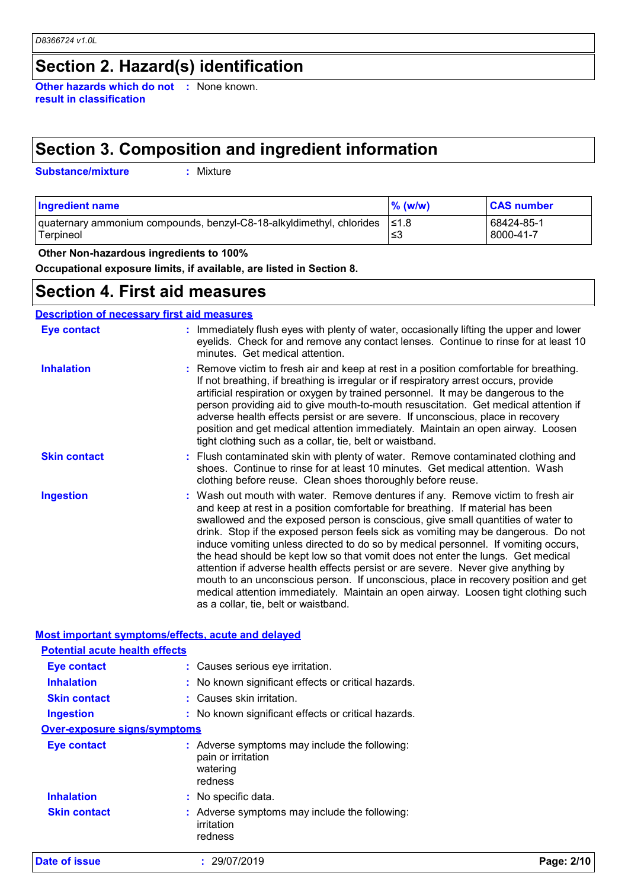# **Section 2. Hazard(s) identification**

**Other hazards which do not :** None known. **result in classification**

# **Section 3. Composition and ingredient information**

**Substance/mixture :**

Mixture

| <b>Ingredient name</b>                                                                  | $\%$ (w/w) | <b>CAS number</b>       |
|-----------------------------------------------------------------------------------------|------------|-------------------------|
| quaternary ammonium compounds, benzyl-C8-18-alkyldimethyl, chlorides  ≤1.8<br>Terpineol | ≲3         | 68424-85-1<br>8000-41-7 |

 **Other Non-hazardous ingredients to 100%**

**Occupational exposure limits, if available, are listed in Section 8.**

### **Section 4. First aid measures**

#### **Description of necessary first aid measures**

| <b>Eye contact</b>  | : Immediately flush eyes with plenty of water, occasionally lifting the upper and lower<br>eyelids. Check for and remove any contact lenses. Continue to rinse for at least 10<br>minutes. Get medical attention.                                                                                                                                                                                                                                                                                                                                                                                                                                                                                                                                                                                                            |
|---------------------|------------------------------------------------------------------------------------------------------------------------------------------------------------------------------------------------------------------------------------------------------------------------------------------------------------------------------------------------------------------------------------------------------------------------------------------------------------------------------------------------------------------------------------------------------------------------------------------------------------------------------------------------------------------------------------------------------------------------------------------------------------------------------------------------------------------------------|
| <b>Inhalation</b>   | : Remove victim to fresh air and keep at rest in a position comfortable for breathing.<br>If not breathing, if breathing is irregular or if respiratory arrest occurs, provide<br>artificial respiration or oxygen by trained personnel. It may be dangerous to the<br>person providing aid to give mouth-to-mouth resuscitation. Get medical attention if<br>adverse health effects persist or are severe. If unconscious, place in recovery<br>position and get medical attention immediately. Maintain an open airway. Loosen<br>tight clothing such as a collar, tie, belt or waistband.                                                                                                                                                                                                                                 |
| <b>Skin contact</b> | : Flush contaminated skin with plenty of water. Remove contaminated clothing and<br>shoes. Continue to rinse for at least 10 minutes. Get medical attention. Wash<br>clothing before reuse. Clean shoes thoroughly before reuse.                                                                                                                                                                                                                                                                                                                                                                                                                                                                                                                                                                                             |
| <b>Ingestion</b>    | : Wash out mouth with water. Remove dentures if any. Remove victim to fresh air<br>and keep at rest in a position comfortable for breathing. If material has been<br>swallowed and the exposed person is conscious, give small quantities of water to<br>drink. Stop if the exposed person feels sick as vomiting may be dangerous. Do not<br>induce vomiting unless directed to do so by medical personnel. If vomiting occurs,<br>the head should be kept low so that vomit does not enter the lungs. Get medical<br>attention if adverse health effects persist or are severe. Never give anything by<br>mouth to an unconscious person. If unconscious, place in recovery position and get<br>medical attention immediately. Maintain an open airway. Loosen tight clothing such<br>as a collar, tie, belt or waistband. |

**Most important symptoms/effects, acute and delayed**

| Date of issue                         | : 29/07/2019                                                                               | Page: 2/10 |
|---------------------------------------|--------------------------------------------------------------------------------------------|------------|
| <b>Skin contact</b>                   | Adverse symptoms may include the following:<br>irritation<br>redness                       |            |
| <b>Inhalation</b>                     | : No specific data.                                                                        |            |
| Eye contact                           | : Adverse symptoms may include the following:<br>pain or irritation<br>watering<br>redness |            |
| <b>Over-exposure signs/symptoms</b>   |                                                                                            |            |
| <b>Ingestion</b>                      | : No known significant effects or critical hazards.                                        |            |
| <b>Skin contact</b>                   | : Causes skin irritation.                                                                  |            |
| <b>Inhalation</b>                     | : No known significant effects or critical hazards.                                        |            |
| Eye contact                           | : Causes serious eye irritation.                                                           |            |
| <b>Potential acute health effects</b> |                                                                                            |            |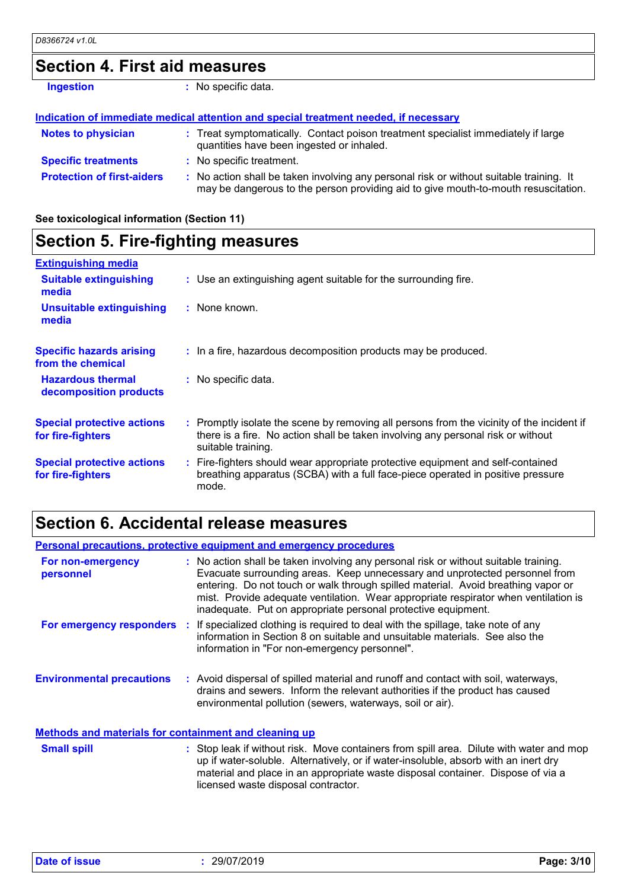### **Section 4. First aid measures**

| <b>Ingestion</b>                  | : No specific data.                                                                                                                                                           |
|-----------------------------------|-------------------------------------------------------------------------------------------------------------------------------------------------------------------------------|
|                                   | Indication of immediate medical attention and special treatment needed, if necessary                                                                                          |
| <b>Notes to physician</b>         | : Treat symptomatically. Contact poison treatment specialist immediately if large<br>quantities have been ingested or inhaled.                                                |
| <b>Specific treatments</b>        | : No specific treatment.                                                                                                                                                      |
| <b>Protection of first-aiders</b> | : No action shall be taken involving any personal risk or without suitable training. It<br>may be dangerous to the person providing aid to give mouth-to-mouth resuscitation. |

**See toxicological information (Section 11)**

#### **Section 5. Fire-fighting measures :** Promptly isolate the scene by removing all persons from the vicinity of the incident if there is a fire. No action shall be taken involving any personal risk or without suitable training. **Hazardous thermal decomposition products Specific hazards arising from the chemical** No specific data. **: :** In a fire, hazardous decomposition products may be produced. Fire-fighters should wear appropriate protective equipment and self-contained **:** breathing apparatus (SCBA) with a full face-piece operated in positive pressure mode. **Special protective actions for fire-fighters** Use an extinguishing agent suitable for the surrounding fire. **: Extinguishing media :** None known. **Suitable extinguishing media Unsuitable extinguishing media Special protective actions for fire-fighters**

### **Section 6. Accidental release measures**

| <b>Personal precautions, protective equipment and emergency procedures</b> |  |                                                                                                                                                                                                                                                                                                                                                                                                                  |
|----------------------------------------------------------------------------|--|------------------------------------------------------------------------------------------------------------------------------------------------------------------------------------------------------------------------------------------------------------------------------------------------------------------------------------------------------------------------------------------------------------------|
| For non-emergency<br>personnel                                             |  | : No action shall be taken involving any personal risk or without suitable training.<br>Evacuate surrounding areas. Keep unnecessary and unprotected personnel from<br>entering. Do not touch or walk through spilled material. Avoid breathing vapor or<br>mist. Provide adequate ventilation. Wear appropriate respirator when ventilation is<br>inadequate. Put on appropriate personal protective equipment. |
|                                                                            |  | For emergency responders : If specialized clothing is required to deal with the spillage, take note of any<br>information in Section 8 on suitable and unsuitable materials. See also the<br>information in "For non-emergency personnel".                                                                                                                                                                       |
| <b>Environmental precautions</b>                                           |  | : Avoid dispersal of spilled material and runoff and contact with soil, waterways,<br>drains and sewers. Inform the relevant authorities if the product has caused<br>environmental pollution (sewers, waterways, soil or air).                                                                                                                                                                                  |
| <b>Methods and materials for containment and cleaning up</b>               |  |                                                                                                                                                                                                                                                                                                                                                                                                                  |
| <b>Small spill</b>                                                         |  | : Stop leak if without risk. Move containers from spill area. Dilute with water and mop<br>up if water-soluble. Alternatively, or if water-insoluble, absorb with an inert dry<br>material and place in an appropriate waste disposal container. Dispose of via a<br>licensed waste disposal contractor.                                                                                                         |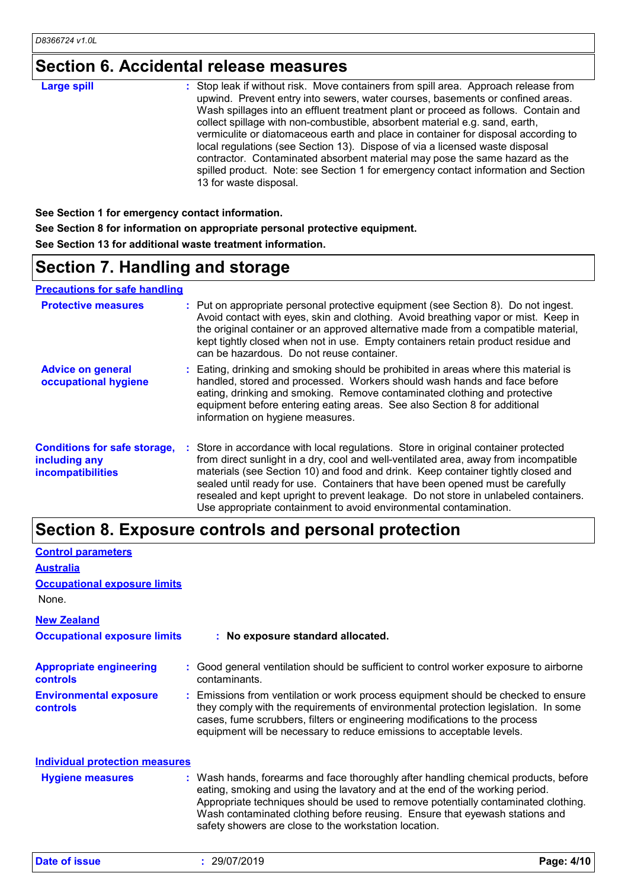# **Section 6. Accidental release measures**

| <b>Large spill</b> | : Stop leak if without risk. Move containers from spill area. Approach release from<br>upwind. Prevent entry into sewers, water courses, basements or confined areas.<br>Wash spillages into an effluent treatment plant or proceed as follows. Contain and<br>collect spillage with non-combustible, absorbent material e.g. sand, earth,<br>vermiculite or diatomaceous earth and place in container for disposal according to |
|--------------------|----------------------------------------------------------------------------------------------------------------------------------------------------------------------------------------------------------------------------------------------------------------------------------------------------------------------------------------------------------------------------------------------------------------------------------|
|                    | local regulations (see Section 13). Dispose of via a licensed waste disposal<br>contractor. Contaminated absorbent material may pose the same hazard as the<br>spilled product. Note: see Section 1 for emergency contact information and Section<br>13 for waste disposal.                                                                                                                                                      |

**See Section 1 for emergency contact information. See Section 8 for information on appropriate personal protective equipment. See Section 13 for additional waste treatment information.**

# **Section 7. Handling and storage**

**Precautions for safe handling**

| <b>Protective measures</b>                                                       | : Put on appropriate personal protective equipment (see Section 8). Do not ingest.<br>Avoid contact with eyes, skin and clothing. Avoid breathing vapor or mist. Keep in<br>the original container or an approved alternative made from a compatible material,<br>kept tightly closed when not in use. Empty containers retain product residue and<br>can be hazardous. Do not reuse container.                                                                                                               |
|----------------------------------------------------------------------------------|---------------------------------------------------------------------------------------------------------------------------------------------------------------------------------------------------------------------------------------------------------------------------------------------------------------------------------------------------------------------------------------------------------------------------------------------------------------------------------------------------------------|
| <b>Advice on general</b><br>occupational hygiene                                 | : Eating, drinking and smoking should be prohibited in areas where this material is<br>handled, stored and processed. Workers should wash hands and face before<br>eating, drinking and smoking. Remove contaminated clothing and protective<br>equipment before entering eating areas. See also Section 8 for additional<br>information on hygiene measures.                                                                                                                                                 |
| <b>Conditions for safe storage,</b><br>including any<br><b>incompatibilities</b> | : Store in accordance with local regulations. Store in original container protected<br>from direct sunlight in a dry, cool and well-ventilated area, away from incompatible<br>materials (see Section 10) and food and drink. Keep container tightly closed and<br>sealed until ready for use. Containers that have been opened must be carefully<br>resealed and kept upright to prevent leakage. Do not store in unlabeled containers.<br>Use appropriate containment to avoid environmental contamination. |

### **Section 8. Exposure controls and personal protection**

| <b>Control parameters</b>                         |                                                                                                                                                                                                                                                                                                                                                                                                   |
|---------------------------------------------------|---------------------------------------------------------------------------------------------------------------------------------------------------------------------------------------------------------------------------------------------------------------------------------------------------------------------------------------------------------------------------------------------------|
| <b>Australia</b>                                  |                                                                                                                                                                                                                                                                                                                                                                                                   |
| <b>Occupational exposure limits</b>               |                                                                                                                                                                                                                                                                                                                                                                                                   |
| None.                                             |                                                                                                                                                                                                                                                                                                                                                                                                   |
| <b>New Zealand</b>                                |                                                                                                                                                                                                                                                                                                                                                                                                   |
| <b>Occupational exposure limits</b>               | : No exposure standard allocated.                                                                                                                                                                                                                                                                                                                                                                 |
| <b>Appropriate engineering</b><br><b>controls</b> | : Good general ventilation should be sufficient to control worker exposure to airborne<br>contaminants.                                                                                                                                                                                                                                                                                           |
| <b>Environmental exposure</b><br><b>controls</b>  | : Emissions from ventilation or work process equipment should be checked to ensure<br>they comply with the requirements of environmental protection legislation. In some<br>cases, fume scrubbers, filters or engineering modifications to the process<br>equipment will be necessary to reduce emissions to acceptable levels.                                                                   |
| <b>Individual protection measures</b>             |                                                                                                                                                                                                                                                                                                                                                                                                   |
| <b>Hygiene measures</b>                           | : Wash hands, forearms and face thoroughly after handling chemical products, before<br>eating, smoking and using the lavatory and at the end of the working period.<br>Appropriate techniques should be used to remove potentially contaminated clothing.<br>Wash contaminated clothing before reusing. Ensure that eyewash stations and<br>safety showers are close to the workstation location. |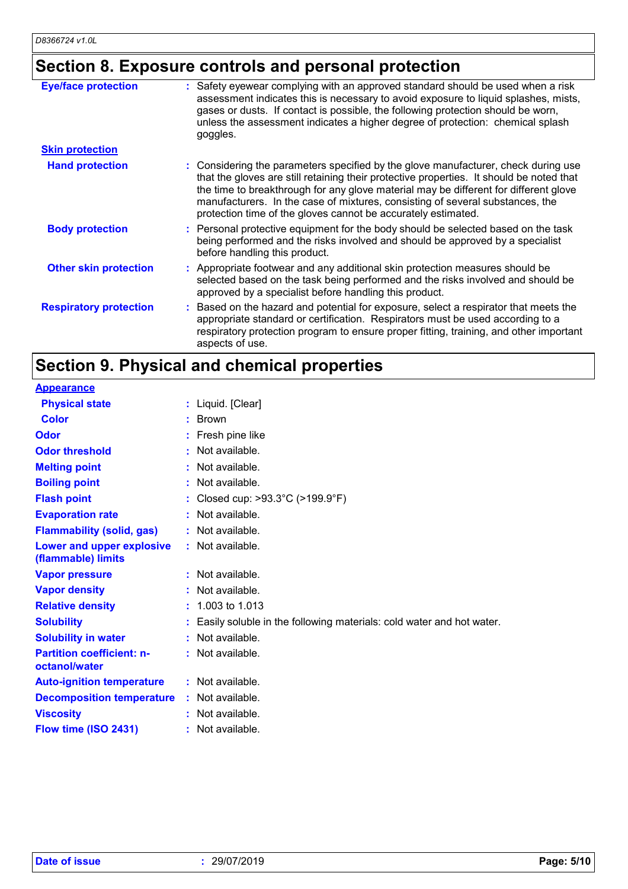# **Section 8. Exposure controls and personal protection**

| <b>Eye/face protection</b>    | : Safety eyewear complying with an approved standard should be used when a risk<br>assessment indicates this is necessary to avoid exposure to liquid splashes, mists,<br>gases or dusts. If contact is possible, the following protection should be worn,<br>unless the assessment indicates a higher degree of protection: chemical splash<br>goggles.                                                                 |
|-------------------------------|--------------------------------------------------------------------------------------------------------------------------------------------------------------------------------------------------------------------------------------------------------------------------------------------------------------------------------------------------------------------------------------------------------------------------|
| <b>Skin protection</b>        |                                                                                                                                                                                                                                                                                                                                                                                                                          |
| <b>Hand protection</b>        | : Considering the parameters specified by the glove manufacturer, check during use<br>that the gloves are still retaining their protective properties. It should be noted that<br>the time to breakthrough for any glove material may be different for different glove<br>manufacturers. In the case of mixtures, consisting of several substances, the<br>protection time of the gloves cannot be accurately estimated. |
| <b>Body protection</b>        | : Personal protective equipment for the body should be selected based on the task<br>being performed and the risks involved and should be approved by a specialist<br>before handling this product.                                                                                                                                                                                                                      |
| <b>Other skin protection</b>  | : Appropriate footwear and any additional skin protection measures should be<br>selected based on the task being performed and the risks involved and should be<br>approved by a specialist before handling this product.                                                                                                                                                                                                |
| <b>Respiratory protection</b> | : Based on the hazard and potential for exposure, select a respirator that meets the<br>appropriate standard or certification. Respirators must be used according to a<br>respiratory protection program to ensure proper fitting, training, and other important<br>aspects of use.                                                                                                                                      |

# **Section 9. Physical and chemical properties**

| <b>Appearance</b>                                 |                                                                      |
|---------------------------------------------------|----------------------------------------------------------------------|
| <b>Physical state</b>                             | : Liquid. [Clear]                                                    |
| <b>Color</b>                                      | $:$ Brown                                                            |
| Odor                                              | : Fresh pine like                                                    |
| <b>Odor threshold</b>                             | Not available.<br>к.                                                 |
| <b>Melting point</b>                              | Not available.                                                       |
| <b>Boiling point</b>                              | Not available.                                                       |
| <b>Flash point</b>                                | : Closed cup: >93.3°C (>199.9°F)                                     |
| <b>Evaporation rate</b>                           | Not available.                                                       |
| <b>Flammability (solid, gas)</b>                  | : Not available.                                                     |
| Lower and upper explosive<br>(flammable) limits   | : Not available.                                                     |
| <b>Vapor pressure</b>                             | $:$ Not available.                                                   |
| <b>Vapor density</b>                              | $:$ Not available.                                                   |
| <b>Relative density</b>                           | $: 1.003$ to 1.013                                                   |
| <b>Solubility</b>                                 | Easily soluble in the following materials: cold water and hot water. |
| <b>Solubility in water</b>                        | $:$ Not available.                                                   |
| <b>Partition coefficient: n-</b><br>octanol/water | $:$ Not available.                                                   |
| <b>Auto-ignition temperature</b>                  | $:$ Not available.                                                   |
| <b>Decomposition temperature</b>                  | $:$ Not available.                                                   |
| <b>Viscosity</b>                                  | $:$ Not available.                                                   |
| Flow time (ISO 2431)                              | : Not available.                                                     |
|                                                   |                                                                      |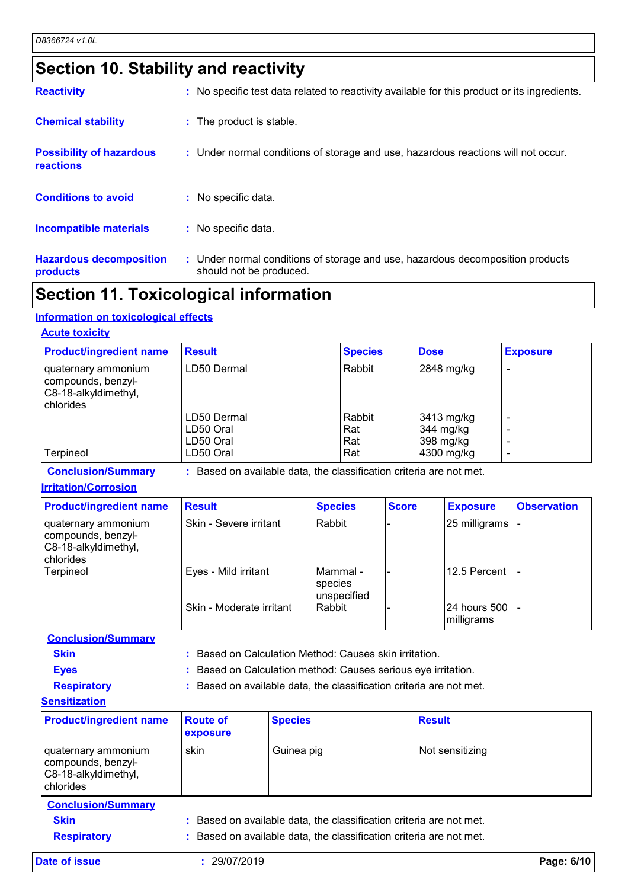### **Section 10. Stability and reactivity**

| <b>Reactivity</b>                            | : No specific test data related to reactivity available for this product or its ingredients.              |
|----------------------------------------------|-----------------------------------------------------------------------------------------------------------|
| <b>Chemical stability</b>                    | : The product is stable.                                                                                  |
| <b>Possibility of hazardous</b><br>reactions | : Under normal conditions of storage and use, hazardous reactions will not occur.                         |
| <b>Conditions to avoid</b>                   | : No specific data.                                                                                       |
| Incompatible materials                       | : No specific data.                                                                                       |
| <b>Hazardous decomposition</b><br>products   | : Under normal conditions of storage and use, hazardous decomposition products<br>should not be produced. |

### **Section 11. Toxicological information**

#### **Information on toxicological effects**

#### **Acute toxicity**

| <b>Product/ingredient name</b>                                                 | <b>Result</b> | <b>Species</b> | <b>Dose</b> | <b>Exposure</b> |
|--------------------------------------------------------------------------------|---------------|----------------|-------------|-----------------|
| quaternary ammonium<br>compounds, benzyl-<br>C8-18-alkyldimethyl,<br>chlorides | LD50 Dermal   | Rabbit         | 2848 mg/kg  |                 |
|                                                                                | LD50 Dermal   | Rabbit         | 3413 mg/kg  |                 |
|                                                                                | LD50 Oral     | Rat            | 344 mg/kg   |                 |
|                                                                                | LD50 Oral     | Rat            | 398 mg/kg   |                 |
| Terpineol                                                                      | LD50 Oral     | Rat            | 4300 mg/kg  |                 |

**Conclusion/Summary :** Based on available data, the classification criteria are not met.

#### **Irritation/Corrosion**

| <b>Product/ingredient name</b>                                                 | <b>Result</b>            | <b>Species</b>                       | <b>Score</b> | <b>Exposure</b>             | <b>Observation</b> |
|--------------------------------------------------------------------------------|--------------------------|--------------------------------------|--------------|-----------------------------|--------------------|
| quaternary ammonium<br>compounds, benzyl-<br>C8-18-alkyldimethyl,<br>chlorides | Skin - Severe irritant   | Rabbit                               |              | 25 milligrams               |                    |
| Terpineol                                                                      | Eyes - Mild irritant     | l Mammal -<br>species<br>unspecified |              | 12.5 Percent                |                    |
|                                                                                | Skin - Moderate irritant | l Rabbit                             |              | 24 hours 500<br>Imilligrams |                    |

**Conclusion/Summary**

**Skin Example 20 :** Based on Calculation Method: Causes skin irritation.

**Eyes :** Based on Calculation method: Causes serious eye irritation.

**Respiratory :** Based on available data, the classification criteria are not met.

**Sensitization** quaternary ammonium compounds, benzyl-C8-18-alkyldimethyl, chlorides skin Guinea pig Not sensitizing **Product/ingredient name Route of exposure Species Result** 

**Conclusion/Summary Skin Example 2018 :** Based on available data, the classification criteria are not met. **Respiratory :** Based on available data, the classification criteria are not met.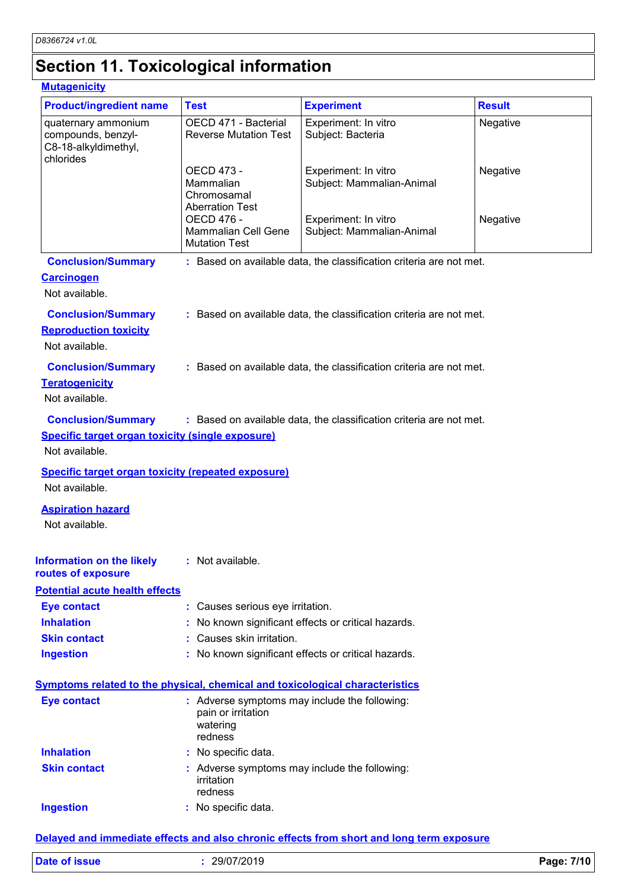# **Section 11. Toxicological information**

#### **Mutagenicity**

| <b>Product/ingredient name</b>                                                      | <b>Test</b>                                                                                | <b>Experiment</b>                                                   | <b>Result</b> |
|-------------------------------------------------------------------------------------|--------------------------------------------------------------------------------------------|---------------------------------------------------------------------|---------------|
| quaternary ammonium<br>compounds, benzyl-<br>C8-18-alkyldimethyl,<br>chlorides      | OECD 471 - Bacterial<br><b>Reverse Mutation Test</b>                                       | Experiment: In vitro<br>Subject: Bacteria                           | Negative      |
|                                                                                     | OECD 473 -<br>Mammalian<br>Chromosamal<br><b>Aberration Test</b>                           | Experiment: In vitro<br>Subject: Mammalian-Animal                   | Negative      |
|                                                                                     | OECD 476 -<br><b>Mammalian Cell Gene</b><br><b>Mutation Test</b>                           | Experiment: In vitro<br>Subject: Mammalian-Animal                   | Negative      |
| <b>Conclusion/Summary</b>                                                           |                                                                                            | : Based on available data, the classification criteria are not met. |               |
| <b>Carcinogen</b><br>Not available.                                                 |                                                                                            |                                                                     |               |
| <b>Conclusion/Summary</b><br><b>Reproduction toxicity</b><br>Not available.         |                                                                                            | : Based on available data, the classification criteria are not met. |               |
| <b>Conclusion/Summary</b><br><b>Teratogenicity</b><br>Not available.                |                                                                                            | : Based on available data, the classification criteria are not met. |               |
| <b>Conclusion/Summary</b>                                                           |                                                                                            | : Based on available data, the classification criteria are not met. |               |
| <b>Specific target organ toxicity (single exposure)</b>                             |                                                                                            |                                                                     |               |
| Not available.                                                                      |                                                                                            |                                                                     |               |
| <b>Specific target organ toxicity (repeated exposure)</b>                           |                                                                                            |                                                                     |               |
| Not available.                                                                      |                                                                                            |                                                                     |               |
| <b>Aspiration hazard</b><br>Not available.                                          |                                                                                            |                                                                     |               |
| <b>Information on the likely</b><br>routes of exposure                              | : Not available.                                                                           |                                                                     |               |
| <b>Potential acute health effects</b>                                               |                                                                                            |                                                                     |               |
| <b>Eye contact</b>                                                                  | : Causes serious eye irritation.                                                           |                                                                     |               |
| <b>Inhalation</b>                                                                   |                                                                                            | No known significant effects or critical hazards.                   |               |
| <b>Skin contact</b>                                                                 | Causes skin irritation.                                                                    |                                                                     |               |
| <b>Ingestion</b>                                                                    |                                                                                            | No known significant effects or critical hazards.                   |               |
| <b>Symptoms related to the physical, chemical and toxicological characteristics</b> |                                                                                            |                                                                     |               |
| <b>Eye contact</b>                                                                  | : Adverse symptoms may include the following:<br>pain or irritation<br>watering<br>redness |                                                                     |               |
| <b>Inhalation</b>                                                                   | No specific data.                                                                          |                                                                     |               |
| <b>Skin contact</b>                                                                 | : Adverse symptoms may include the following:<br>irritation<br>redness                     |                                                                     |               |
| <b>Ingestion</b>                                                                    | No specific data.                                                                          |                                                                     |               |
|                                                                                     |                                                                                            |                                                                     |               |

#### **Delayed and immediate effects and also chronic effects from short and long term exposure**

| Date of issue<br>29/07/2019 | 7/10<br>Page: |
|-----------------------------|---------------|
|-----------------------------|---------------|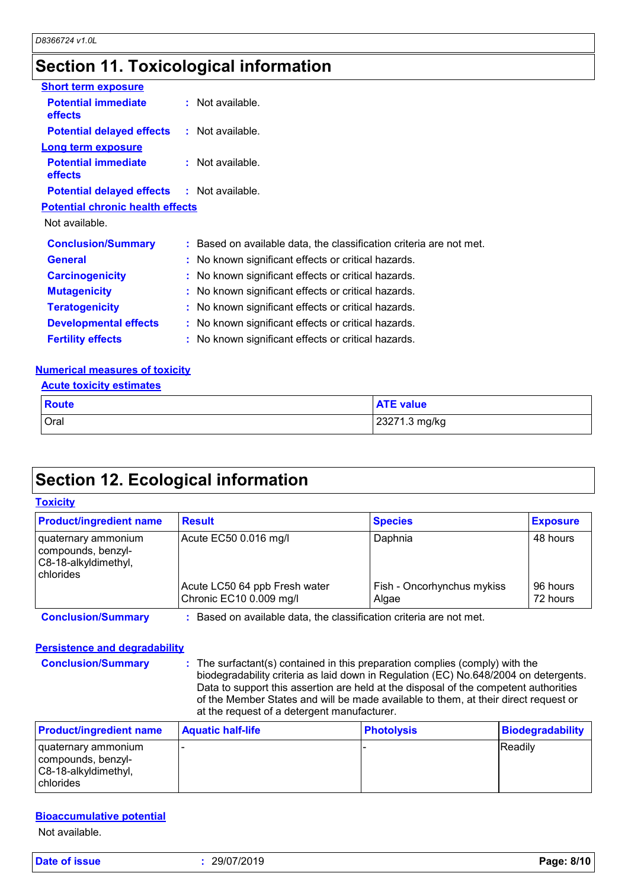### **Section 11. Toxicological information**

| <b>Short term exposure</b>                        |                                                                     |
|---------------------------------------------------|---------------------------------------------------------------------|
| <b>Potential immediate</b><br>effects             | $:$ Not available.                                                  |
| <b>Potential delayed effects : Not available.</b> |                                                                     |
| <b>Long term exposure</b>                         |                                                                     |
| <b>Potential immediate</b><br>effects             | $:$ Not available.                                                  |
| <b>Potential delayed effects : Not available.</b> |                                                                     |
| <b>Potential chronic health effects</b>           |                                                                     |
| Not available.                                    |                                                                     |
| <b>Conclusion/Summary</b>                         | : Based on available data, the classification criteria are not met. |
| <b>General</b>                                    | : No known significant effects or critical hazards.                 |
| <b>Carcinogenicity</b>                            | : No known significant effects or critical hazards.                 |
| <b>Mutagenicity</b>                               | : No known significant effects or critical hazards.                 |
| <b>Teratogenicity</b>                             | : No known significant effects or critical hazards.                 |
| <b>Developmental effects</b>                      | : No known significant effects or critical hazards.                 |
| <b>Fertility effects</b>                          | : No known significant effects or critical hazards.                 |

#### **Numerical measures of toxicity**

#### **Acute toxicity estimates**

**Toxicity**

| <b>Route</b> | <b>ATE value</b> |
|--------------|------------------|
| Oral         | 23271.3 mg/kg    |

### **Section 12. Ecological information**

| <b>Product/ingredient name</b>                                                 | <b>Result</b>                                            | <b>Species</b>                      | <b>Exposure</b>      |
|--------------------------------------------------------------------------------|----------------------------------------------------------|-------------------------------------|----------------------|
| quaternary ammonium<br>compounds, benzyl-<br>C8-18-alkyldimethyl,<br>chlorides | Acute EC50 0.016 mg/l                                    | Daphnia                             | 48 hours             |
|                                                                                | Acute LC50 64 ppb Fresh water<br>Chronic EC10 0.009 mg/l | Fish - Oncorhynchus mykiss<br>Algae | 96 hours<br>72 hours |

#### **Persistence and degradability**

**Conclusion/Summary :** The surfactant(s) contained in this preparation complies (comply) with the biodegradability criteria as laid down in Regulation (EC) No.648/2004 on detergents. Data to support this assertion are held at the disposal of the competent authorities of the Member States and will be made available to them, at their direct request or at the request of a detergent manufacturer.

| <b>Product/ingredient name</b>                                                     | <b>Aquatic half-life</b> | <b>Photolysis</b> | <b>Biodegradability</b> |
|------------------------------------------------------------------------------------|--------------------------|-------------------|-------------------------|
| I quaternary ammonium<br>compounds, benzyl-<br>C8-18-alkyldimethyl,<br>I chlorides |                          |                   | <b>Readily</b>          |

#### **Bioaccumulative potential**

Not available.

**Date of issue :** 29/07/2019 **Page: 8/10**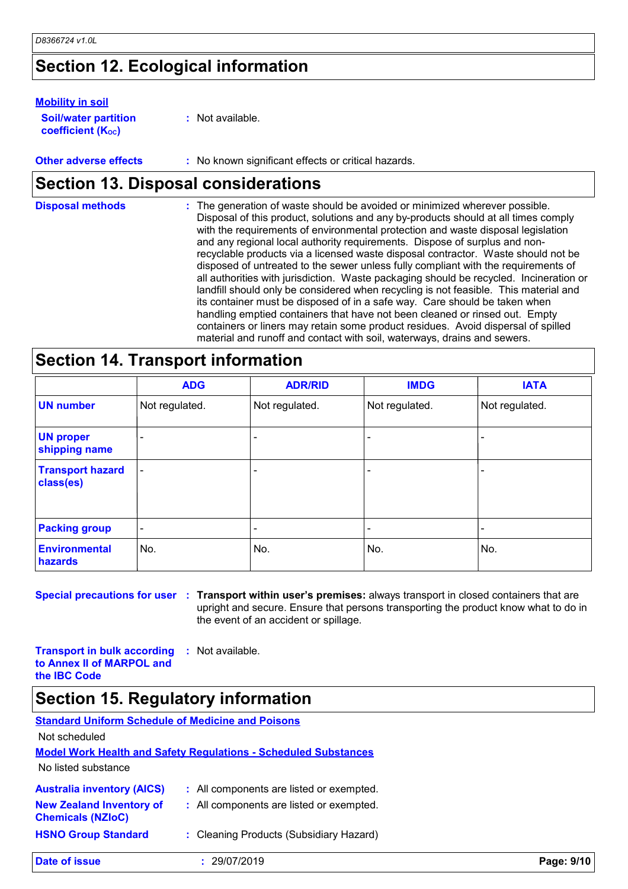## **Section 12. Ecological information**

#### **Mobility in soil**

| <b>Soil/water partition</b> | $:$ Not available. |
|-----------------------------|--------------------|
| <b>coefficient (Koc)</b>    |                    |

**Other adverse effects** : No known significant effects or critical hazards.

# **Section 13. Disposal considerations**

| <b>Disposal methods</b> | : The generation of waste should be avoided or minimized wherever possible.<br>Disposal of this product, solutions and any by-products should at all times comply<br>with the requirements of environmental protection and waste disposal legislation<br>and any regional local authority requirements. Dispose of surplus and non-<br>recyclable products via a licensed waste disposal contractor. Waste should not be<br>disposed of untreated to the sewer unless fully compliant with the requirements of<br>all authorities with jurisdiction. Waste packaging should be recycled. Incineration or<br>landfill should only be considered when recycling is not feasible. This material and<br>its container must be disposed of in a safe way. Care should be taken when<br>handling emptied containers that have not been cleaned or rinsed out. Empty<br>containers or liners may retain some product residues. Avoid dispersal of spilled |
|-------------------------|----------------------------------------------------------------------------------------------------------------------------------------------------------------------------------------------------------------------------------------------------------------------------------------------------------------------------------------------------------------------------------------------------------------------------------------------------------------------------------------------------------------------------------------------------------------------------------------------------------------------------------------------------------------------------------------------------------------------------------------------------------------------------------------------------------------------------------------------------------------------------------------------------------------------------------------------------|
|                         | material and runoff and contact with soil, waterways, drains and sewers.                                                                                                                                                                                                                                                                                                                                                                                                                                                                                                                                                                                                                                                                                                                                                                                                                                                                           |

### **Section 14. Transport information**

|                                      | <b>ADG</b>               | <b>ADR/RID</b> | <b>IMDG</b>              | <b>IATA</b>    |
|--------------------------------------|--------------------------|----------------|--------------------------|----------------|
| <b>UN number</b>                     | Not regulated.           | Not regulated. | Not regulated.           | Not regulated. |
| <b>UN proper</b><br>shipping name    |                          |                |                          |                |
| <b>Transport hazard</b><br>class(es) | $\overline{\phantom{a}}$ |                | $\overline{\phantom{0}}$ |                |
| <b>Packing group</b>                 | $\overline{\phantom{a}}$ |                |                          |                |
| <b>Environmental</b><br>hazards      | No.                      | No.            | No.                      | No.            |

**Special precautions for user Transport within user's premises:** always transport in closed containers that are **:** upright and secure. Ensure that persons transporting the product know what to do in the event of an accident or spillage.

**Transport in bulk according to Annex II of MARPOL and the IBC Code :** Not available.

|  |  | <b>Section 15. Regulatory information</b> |  |
|--|--|-------------------------------------------|--|
|--|--|-------------------------------------------|--|

| <b>Standard Uniform Schedule of Medicine and Poisons</b>               |                                          |            |  |  |  |  |  |
|------------------------------------------------------------------------|------------------------------------------|------------|--|--|--|--|--|
| Not scheduled                                                          |                                          |            |  |  |  |  |  |
| <b>Model Work Health and Safety Regulations - Scheduled Substances</b> |                                          |            |  |  |  |  |  |
| No listed substance                                                    |                                          |            |  |  |  |  |  |
| <b>Australia inventory (AICS)</b>                                      | : All components are listed or exempted. |            |  |  |  |  |  |
| <b>New Zealand Inventory of</b><br><b>Chemicals (NZIoC)</b>            | : All components are listed or exempted. |            |  |  |  |  |  |
| <b>HSNO Group Standard</b>                                             | : Cleaning Products (Subsidiary Hazard)  |            |  |  |  |  |  |
| Date of issue                                                          | 29/07/2019                               | Page: 9/10 |  |  |  |  |  |